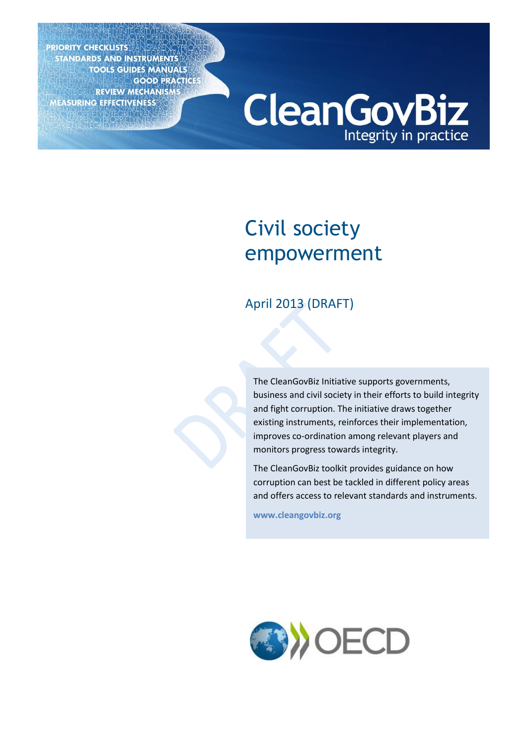**PRIORITY CHECKLISTS STANDARDS AND INSTRUMENTS** TOOLS GUIDES MANUALS MEASURING EFFECTIVENESS

**CleanGovBiz** Integrity in practice

## Civil society empowerment

## April 2013 (DRAFT)

The CleanGovBiz Initiative supports governments, business and civil society in their efforts to build integrity and fight corruption. The initiative draws together existing instruments, reinforces their implementation, improves co-ordination among relevant players and monitors progress towards integrity.

The CleanGovBiz toolkit provides guidance on how corruption can best be tackled in different policy areas and offers access to relevant standards and instruments.

**[www.cleangovbiz.org](http://www.cleangovbiz.org/)**

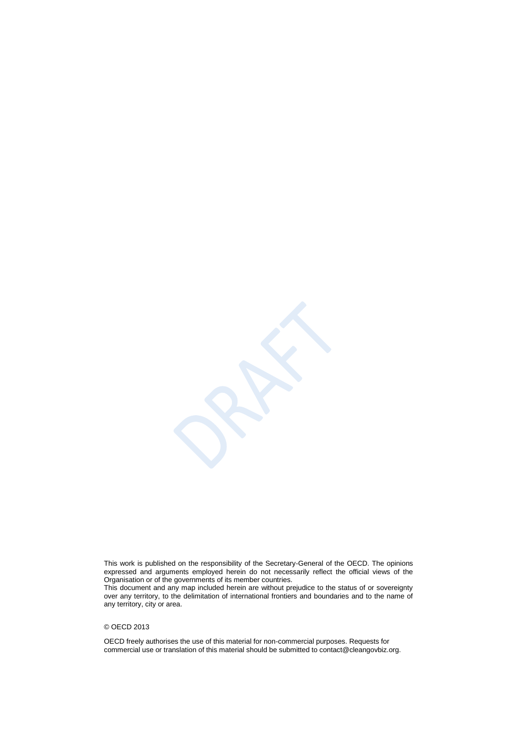This work is published on the responsibility of the Secretary-General of the OECD. The opinions expressed and arguments employed herein do not necessarily reflect the official views of the Organisation or of the governments of its member countries.

This document and any map included herein are without prejudice to the status of or sovereignty over any territory, to the delimitation of international frontiers and boundaries and to the name of any territory, city or area.

#### © OECD 2013

OECD freely authorises the use of this material for non-commercial purposes. Requests for commercial use or translation of this material should be submitted to contact@cleangovbiz.org.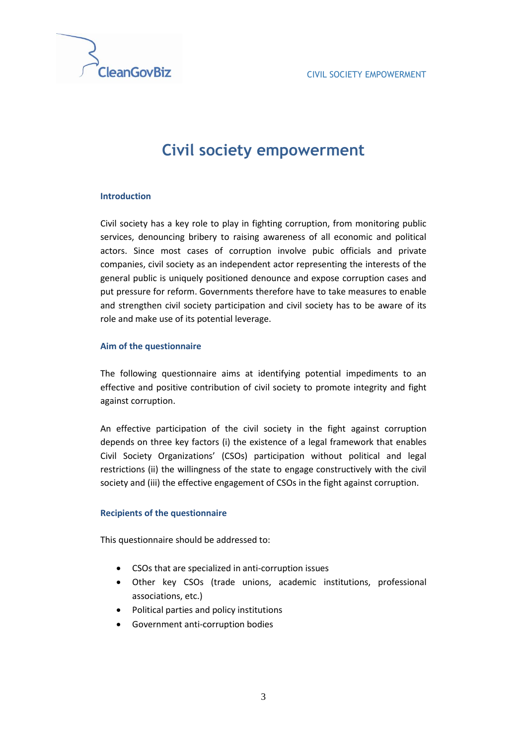

## **Civil society empowerment**

#### **Introduction**

Civil society has a key role to play in fighting corruption, from monitoring public services, denouncing bribery to raising awareness of all economic and political actors. Since most cases of corruption involve pubic officials and private companies, civil society as an independent actor representing the interests of the general public is uniquely positioned denounce and expose corruption cases and put pressure for reform. Governments therefore have to take measures to enable and strengthen civil society participation and civil society has to be aware of its role and make use of its potential leverage.

#### **Aim of the questionnaire**

The following questionnaire aims at identifying potential impediments to an effective and positive contribution of civil society to promote integrity and fight against corruption.

An effective participation of the civil society in the fight against corruption depends on three key factors (i) the existence of a legal framework that enables Civil Society Organizations' (CSOs) participation without political and legal restrictions (ii) the willingness of the state to engage constructively with the civil society and (iii) the effective engagement of CSOs in the fight against corruption.

#### **Recipients of the questionnaire**

This questionnaire should be addressed to:

- CSOs that are specialized in anti-corruption issues
- Other key CSOs (trade unions, academic institutions, professional associations, etc.)
- Political parties and policy institutions
- Government anti-corruption bodies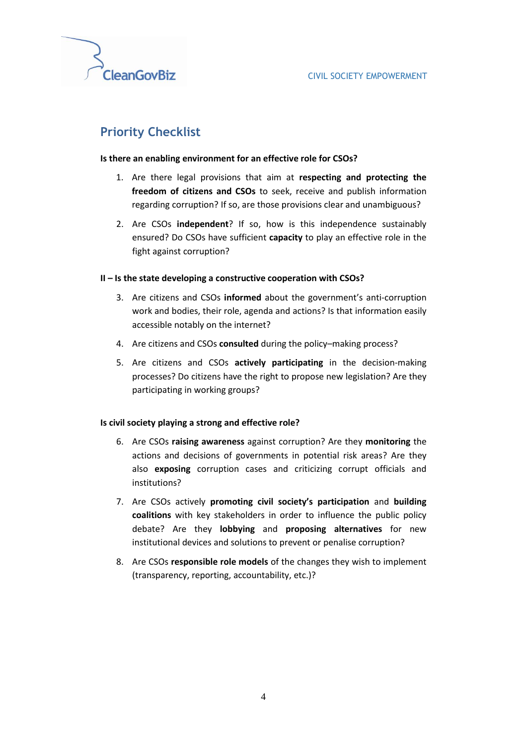

## **Priority Checklist**

#### **Is there an enabling environment for an effective role for CSOs?**

- 1. Are there legal provisions that aim at **respecting and protecting the freedom of citizens and CSOs** to seek, receive and publish information regarding corruption? If so, are those provisions clear and unambiguous?
- 2. Are CSOs **independent**? If so, how is this independence sustainably ensured? Do CSOs have sufficient **capacity** to play an effective role in the fight against corruption?

#### **II – Is the state developing a constructive cooperation with CSOs?**

- 3. Are citizens and CSOs **informed** about the government's anti-corruption work and bodies, their role, agenda and actions? Is that information easily accessible notably on the internet?
- 4. Are citizens and CSOs **consulted** during the policy–making process?
- 5. Are citizens and CSOs **actively participating** in the decision-making processes? Do citizens have the right to propose new legislation? Are they participating in working groups?

#### **Is civil society playing a strong and effective role?**

- 6. Are CSOs **raising awareness** against corruption? Are they **monitoring** the actions and decisions of governments in potential risk areas? Are they also **exposing** corruption cases and criticizing corrupt officials and institutions?
- 7. Are CSOs actively **promoting civil society's participation** and **building coalitions** with key stakeholders in order to influence the public policy debate? Are they **lobbying** and **proposing alternatives** for new institutional devices and solutions to prevent or penalise corruption?
- 8. Are CSOs **responsible role models** of the changes they wish to implement (transparency, reporting, accountability, etc.)?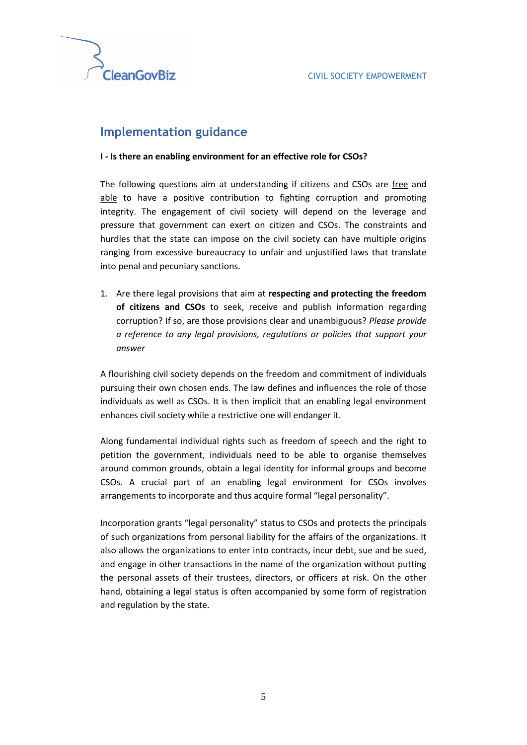

### **Implementation guidance**

#### **I - Is there an enabling environment for an effective role for CSOs?**

The following questions aim at understanding if citizens and CSOs are free and able to have a positive contribution to fighting corruption and promoting integrity. The engagement of civil society will depend on the leverage and pressure that government can exert on citizen and CSOs. The constraints and hurdles that the state can impose on the civil society can have multiple origins ranging from excessive bureaucracy to unfair and unjustified laws that translate into penal and pecuniary sanctions.

1. Are there legal provisions that aim at **respecting and protecting the freedom of citizens and CSOs** to seek, receive and publish information regarding corruption? If so, are those provisions clear and unambiguous? *Please provide a reference to any legal provisions, regulations or policies that support your answer*

A flourishing civil society depends on the freedom and commitment of individuals pursuing their own chosen ends. The law defines and influences the role of those individuals as well as CSOs. It is then implicit that an enabling legal environment enhances civil society while a restrictive one will endanger it.

Along fundamental individual rights such as freedom of speech and the right to petition the government, individuals need to be able to organise themselves around common grounds, obtain a legal identity for informal groups and become CSOs. A crucial part of an enabling legal environment for CSOs involves arrangements to incorporate and thus acquire formal "legal personality".

Incorporation grants "legal personality" status to CSOs and protects the principals of such organizations from personal liability for the affairs of the organizations. It also allows the organizations to enter into contracts, incur debt, sue and be sued, and engage in other transactions in the name of the organization without putting the personal assets of their trustees, directors, or officers at risk. On the other hand, obtaining a legal status is often accompanied by some form of registration and regulation by the state.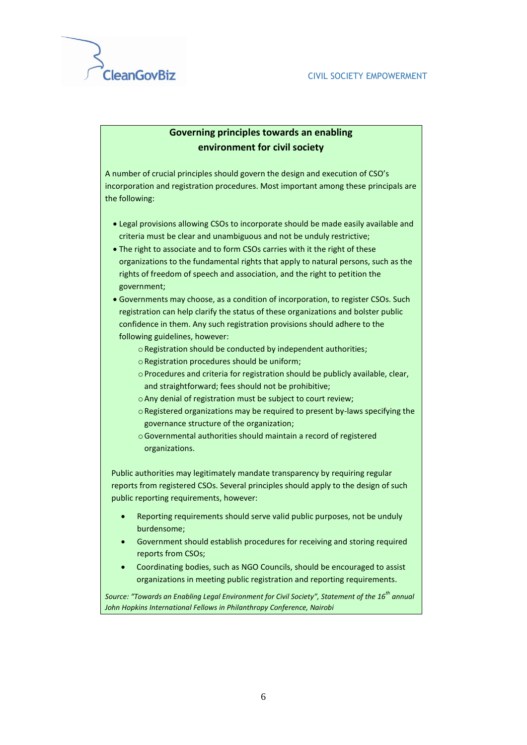

#### **Governing principles towards an enabling environment for civil society**

A number of crucial principles should govern the design and execution of CSO's incorporation and registration procedures. Most important among these principals are the following:

- Legal provisions allowing CSOs to incorporate should be made easily available and criteria must be clear and unambiguous and not be unduly restrictive;
- The right to associate and to form CSOs carries with it the right of these organizations to the fundamental rights that apply to natural persons, such as the rights of freedom of speech and association, and the right to petition the government;
- Governments may choose, as a condition of incorporation, to register CSOs. Such registration can help clarify the status of these organizations and bolster public confidence in them. Any such registration provisions should adhere to the following guidelines, however:
	- oRegistration should be conducted by independent authorities;
	- oRegistration procedures should be uniform;
	- oProcedures and criteria for registration should be publicly available, clear, and straightforward; fees should not be prohibitive;
	- oAny denial of registration must be subject to court review;
	- oRegistered organizations may be required to present by-laws specifying the governance structure of the organization;
	- oGovernmental authorities should maintain a record of registered organizations.

Public authorities may legitimately mandate transparency by requiring regular reports from registered CSOs. Several principles should apply to the design of such public reporting requirements, however:

- Reporting requirements should serve valid public purposes, not be unduly burdensome;
- Government should establish procedures for receiving and storing required reports from CSOs;
- Coordinating bodies, such as NGO Councils, should be encouraged to assist organizations in meeting public registration and reporting requirements.

*Source: "Towards an Enabling Legal Environment for Civil Society", Statement of the 16th annual John Hopkins International Fellows in Philanthropy Conference, Nairobi*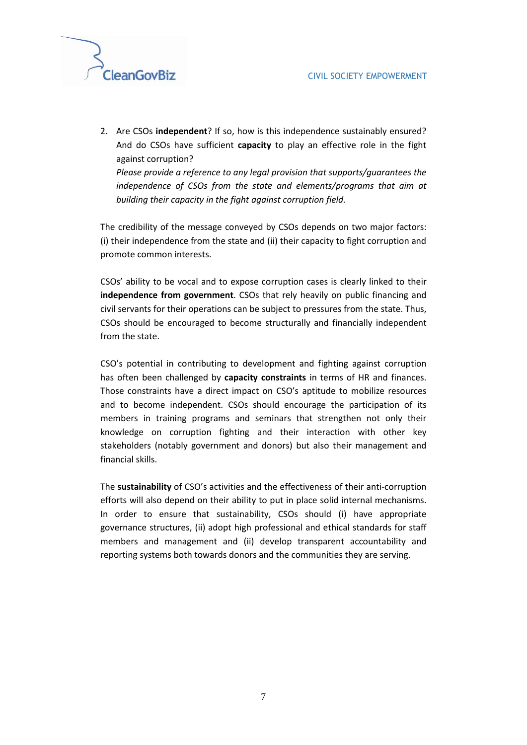

2. Are CSOs **independent**? If so, how is this independence sustainably ensured? And do CSOs have sufficient **capacity** to play an effective role in the fight against corruption? *Please provide a reference to any legal provision that supports/guarantees the independence of CSOs from the state and elements/programs that aim at* 

*building their capacity in the fight against corruption field.* 

The credibility of the message conveyed by CSOs depends on two major factors: (i) their independence from the state and (ii) their capacity to fight corruption and promote common interests.

CSOs' ability to be vocal and to expose corruption cases is clearly linked to their **independence from government**. CSOs that rely heavily on public financing and civil servants for their operations can be subject to pressures from the state. Thus, CSOs should be encouraged to become structurally and financially independent from the state.

CSO's potential in contributing to development and fighting against corruption has often been challenged by **capacity constraints** in terms of HR and finances. Those constraints have a direct impact on CSO's aptitude to mobilize resources and to become independent. CSOs should encourage the participation of its members in training programs and seminars that strengthen not only their knowledge on corruption fighting and their interaction with other key stakeholders (notably government and donors) but also their management and financial skills.

The **sustainability** of CSO's activities and the effectiveness of their anti-corruption efforts will also depend on their ability to put in place solid internal mechanisms. In order to ensure that sustainability, CSOs should (i) have appropriate governance structures, (ii) adopt high professional and ethical standards for staff members and management and (ii) develop transparent accountability and reporting systems both towards donors and the communities they are serving.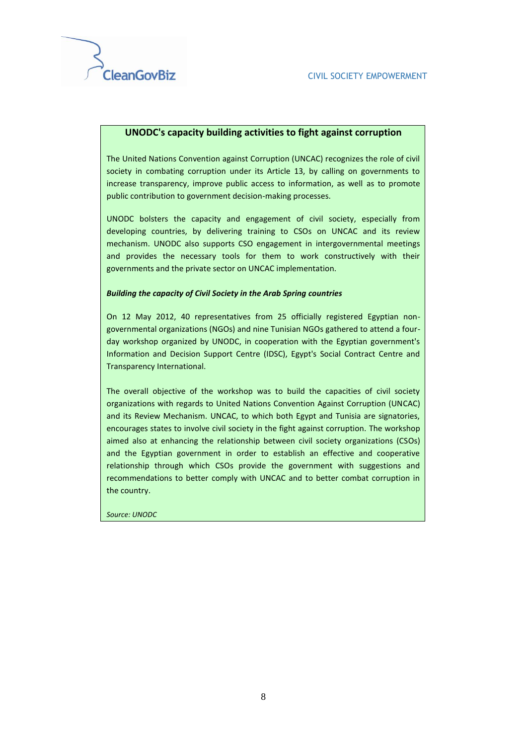#### **UNODC's capacity building activities to fight against corruption**

The United Nations Convention against Corruption (UNCAC) recognizes the role of civil society in combating corruption under its Article 13, by calling on governments to increase transparency, improve public access to information, as well as to promote public contribution to government decision-making processes.

UNODC bolsters the capacity and engagement of civil society, especially from developing countries, by delivering training to CSOs on UNCAC and its review mechanism. UNODC also supports CSO engagement in intergovernmental meetings and provides the necessary tools for them to work constructively with their governments and the private sector on UNCAC implementation.

#### *Building the capacity of Civil Society in the Arab Spring countries*

On 12 May 2012, 40 representatives from 25 officially registered Egyptian nongovernmental organizations (NGOs) and nine Tunisian NGOs gathered to attend a fourday workshop organized by UNODC, in cooperation with the Egyptian government's Information and Decision Support Centre (IDSC), Egypt's Social Contract Centre and Transparency International.

The overall objective of the workshop was to build the capacities of civil society organizations with regards to United Nations Convention Against Corruption (UNCAC) and its Review Mechanism. UNCAC, to which both Egypt and Tunisia are signatories, encourages states to involve civil society in the fight against corruption. The workshop aimed also at enhancing the relationship between civil society organizations (CSOs) and the Egyptian government in order to establish an effective and cooperative relationship through which CSOs provide the government with suggestions and recommendations to better comply with UNCAC and to better combat corruption in the country.

*Source: UNODC*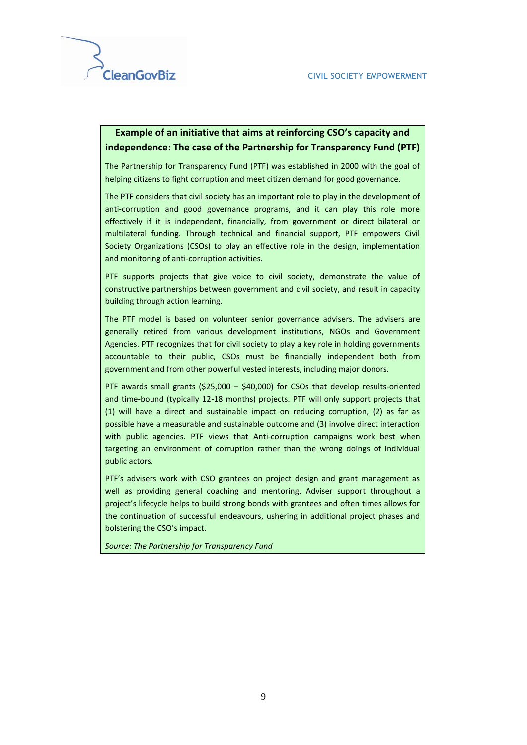#### **Example of an initiative that aims at reinforcing CSO's capacity and independence: The case of the Partnership for Transparency Fund (PTF)**

The Partnership for Transparency Fund (PTF) was established in 2000 with the goal of helping citizens to fight corruption and meet citizen demand for good governance.

The PTF considers that civil society has an important role to play in the development of anti-corruption and good governance programs, and it can play this role more effectively if it is independent, financially, from government or direct bilateral or multilateral funding. Through technical and financial support, PTF empowers Civil Society Organizations (CSOs) to play an effective role in the design, implementation and monitoring of anti-corruption activities.

PTF supports projects that give voice to civil society, demonstrate the value of constructive partnerships between government and civil society, and result in capacity building through action learning.

The PTF model is based on volunteer senior governance advisers. The advisers are generally retired from various development institutions, NGOs and Government Agencies. PTF recognizes that for civil society to play a key role in holding governments accountable to their public, CSOs must be financially independent both from government and from other powerful vested interests, including major donors.

PTF awards small grants (\$25,000 – \$40,000) for CSOs that develop results-oriented and time-bound (typically 12-18 months) projects. PTF will only support projects that (1) will have a direct and sustainable impact on reducing corruption, (2) as far as possible have a measurable and sustainable outcome and (3) involve direct interaction with public agencies. PTF views that Anti-corruption campaigns work best when targeting an environment of corruption rather than the wrong doings of individual public actors.

PTF's advisers work with CSO grantees on project design and grant management as well as providing general coaching and mentoring. Adviser support throughout a project's lifecycle helps to build strong bonds with grantees and often times allows for the continuation of successful endeavours, ushering in additional project phases and bolstering the CSO's impact.

*Source: The Partnership for Transparency Fund*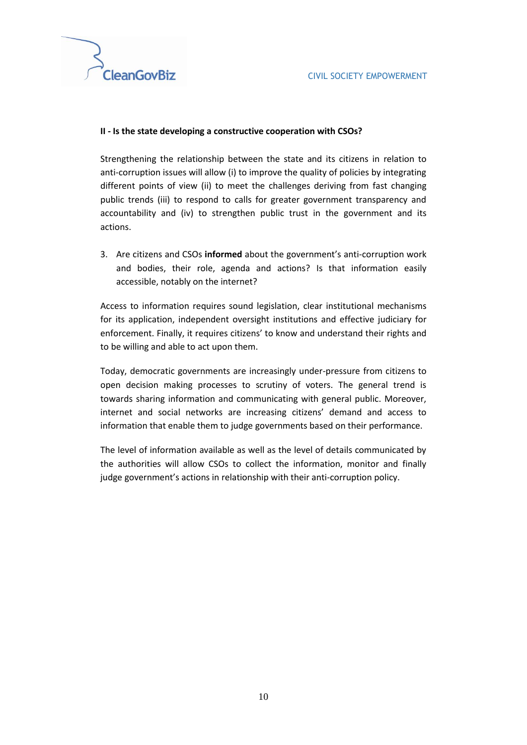#### **II - Is the state developing a constructive cooperation with CSOs?**

Strengthening the relationship between the state and its citizens in relation to anti-corruption issues will allow (i) to improve the quality of policies by integrating different points of view (ii) to meet the challenges deriving from fast changing public trends (iii) to respond to calls for greater government transparency and accountability and (iv) to strengthen public trust in the government and its actions.

3. Are citizens and CSOs **informed** about the government's anti-corruption work and bodies, their role, agenda and actions? Is that information easily accessible, notably on the internet?

Access to information requires sound legislation, clear institutional mechanisms for its application, independent oversight institutions and effective judiciary for enforcement. Finally, it requires citizens' to know and understand their rights and to be willing and able to act upon them.

Today, democratic governments are increasingly under-pressure from citizens to open decision making processes to scrutiny of voters. The general trend is towards sharing information and communicating with general public. Moreover, internet and social networks are increasing citizens' demand and access to information that enable them to judge governments based on their performance.

The level of information available as well as the level of details communicated by the authorities will allow CSOs to collect the information, monitor and finally judge government's actions in relationship with their anti-corruption policy.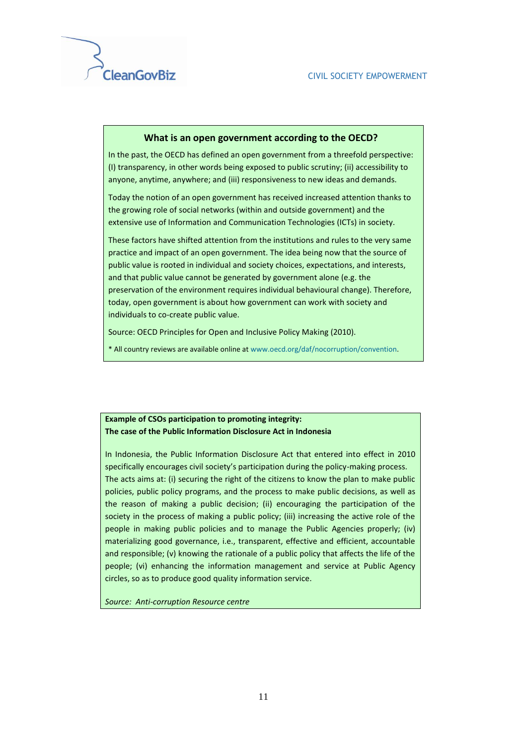#### **What is an open government according to the OECD?**

In the past, the OECD has defined an open government from a threefold perspective: (I) transparency, in other words being exposed to public scrutiny; (ii) accessibility to anyone, anytime, anywhere; and (iii) responsiveness to new ideas and demands.

Today the notion of an open government has received increased attention thanks to the growing role of social networks (within and outside government) and the extensive use of Information and Communication Technologies (ICTs) in society.

These factors have shifted attention from the institutions and rules to the very same practice and impact of an open government. The idea being now that the source of public value is rooted in individual and society choices, expectations, and interests, and that public value cannot be generated by government alone (e.g. the preservation of the environment requires individual behavioural change). Therefore, today, open government is about how government can work with society and individuals to co-create public value.

Source: OECD Principles for Open and Inclusive Policy Making (2010).

\* All country reviews are available online a[t www.oecd.org/daf/nocorruption/convention.](http://www.oecd.org/daf/nocorruption/convention) 

#### **Example of CSOs participation to promoting integrity: The case of the Public Information Disclosure Act in Indonesia**

In Indonesia, the Public Information Disclosure Act that entered into effect in 2010 specifically encourages civil society's participation during the policy-making process. The acts aims at: (i) securing the right of the citizens to know the plan to make public policies, public policy programs, and the process to make public decisions, as well as the reason of making a public decision; (ii) encouraging the participation of the society in the process of making a public policy; (iii) increasing the active role of the people in making public policies and to manage the Public Agencies properly; (iv) materializing good governance, i.e., transparent, effective and efficient, accountable and responsible; (v) knowing the rationale of a public policy that affects the life of the people; (vi) enhancing the information management and service at Public Agency circles, so as to produce good quality information service.

*Source: Anti-corruption Resource centre*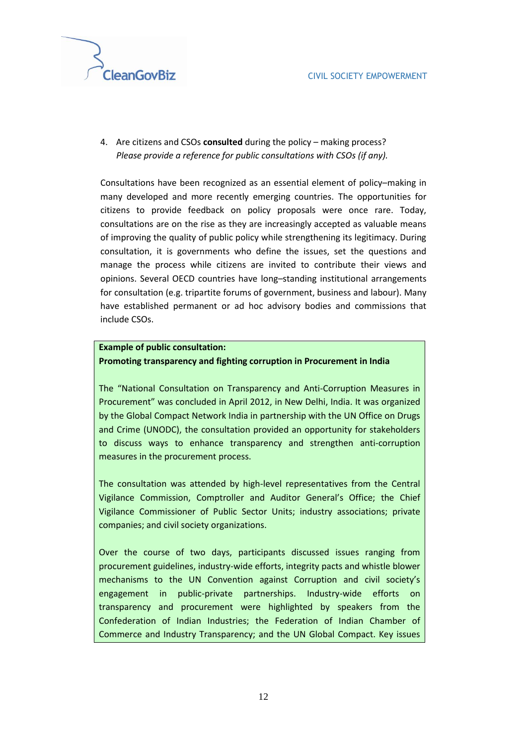

4. Are citizens and CSOs **consulted** during the policy – making process? *Please provide a reference for public consultations with CSOs (if any).*

Consultations have been recognized as an essential element of policy–making in many developed and more recently emerging countries. The opportunities for citizens to provide feedback on policy proposals were once rare. Today, consultations are on the rise as they are increasingly accepted as valuable means of improving the quality of public policy while strengthening its legitimacy. During consultation, it is governments who define the issues, set the questions and manage the process while citizens are invited to contribute their views and opinions. Several OECD countries have long–standing institutional arrangements for consultation (e.g. tripartite forums of government, business and labour). Many have established permanent or ad hoc advisory bodies and commissions that include CSOs.

#### **Example of public consultation: Promoting transparency and fighting corruption in Procurement in India**

The "National Consultation on Transparency and Anti-Corruption Measures in Procurement" was concluded in April 2012, in New Delhi, India. It was organized by the Global Compact Network India in partnership with the UN Office on Drugs and Crime (UNODC), the consultation provided an opportunity for stakeholders to discuss ways to enhance transparency and strengthen anti-corruption measures in the procurement process.

The consultation was attended by high-level representatives from the Central Vigilance Commission, Comptroller and Auditor General's Office; the Chief Vigilance Commissioner of Public Sector Units; industry associations; private companies; and civil society organizations.

Over the course of two days, participants discussed issues ranging from procurement guidelines, industry-wide efforts, integrity pacts and whistle blower mechanisms to the UN Convention against Corruption and civil society's engagement in public-private partnerships. Industry-wide efforts on transparency and procurement were highlighted by speakers from the Confederation of Indian Industries; the Federation of Indian Chamber of Commerce and Industry Transparency; and the UN Global Compact. Key issues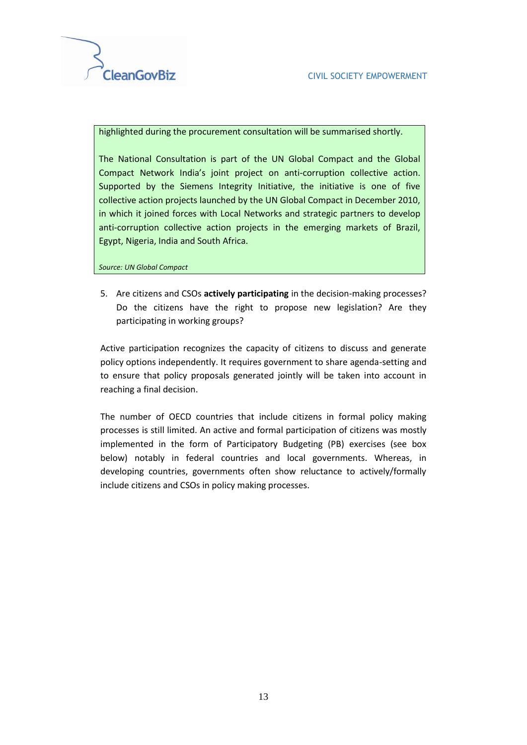

highlighted during the procurement consultation will be summarised shortly.

The National Consultation is part of the UN Global Compact and the Global Compact Network India's joint project on anti-corruption collective action. Supported by the Siemens Integrity Initiative, the initiative is one of five collective action projects launched by the UN Global Compact in December 2010, in which it joined forces with Local Networks and strategic partners to develop anti-corruption collective action projects in the emerging markets of Brazil, Egypt, Nigeria, India and South Africa.

*Source: UN Global Compact*

5. Are citizens and CSOs **actively participating** in the decision-making processes? Do the citizens have the right to propose new legislation? Are they participating in working groups?

Active participation recognizes the capacity of citizens to discuss and generate policy options independently. It requires government to share agenda-setting and to ensure that policy proposals generated jointly will be taken into account in reaching a final decision.

The number of OECD countries that include citizens in formal policy making processes is still limited. An active and formal participation of citizens was mostly implemented in the form of Participatory Budgeting (PB) exercises (see box below) notably in federal countries and local governments. Whereas, in developing countries, governments often show reluctance to actively/formally include citizens and CSOs in policy making processes.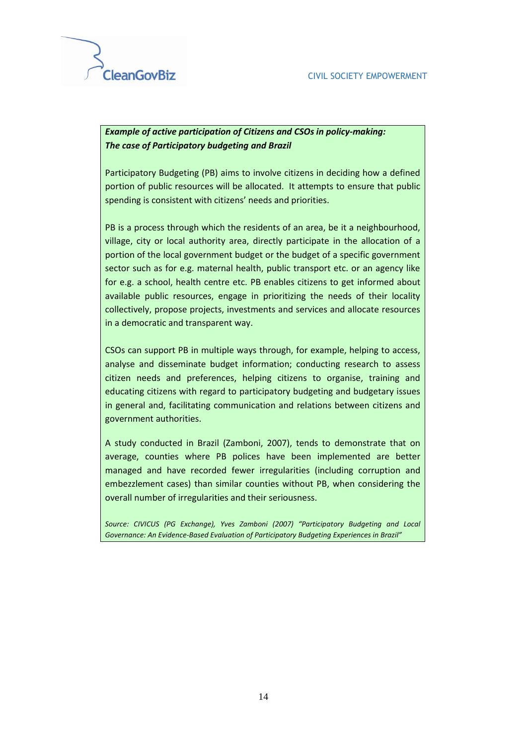#### *Example of active participation of Citizens and CSOs in policy-making: The case of Participatory budgeting and Brazil*

Participatory Budgeting (PB) aims to involve citizens in deciding how a defined portion of public resources will be allocated. It attempts to ensure that public spending is consistent with citizens' needs and priorities.

PB is a process through which the residents of an area, be it a neighbourhood, village, city or local authority area, directly participate in the allocation of a portion of the local government budget or the budget of a specific government sector such as for e.g. maternal health, public transport etc. or an agency like for e.g. a school, health centre etc. PB enables citizens to get informed about available public resources, engage in prioritizing the needs of their locality collectively, propose projects, investments and services and allocate resources in a democratic and transparent way.

CSOs can support PB in multiple ways through, for example, helping to access, analyse and disseminate budget information; conducting research to assess citizen needs and preferences, helping citizens to organise, training and educating citizens with regard to participatory budgeting and budgetary issues in general and, facilitating communication and relations between citizens and government authorities.

A study conducted in Brazil (Zamboni, 2007), tends to demonstrate that on average, counties where PB polices have been implemented are better managed and have recorded fewer irregularities (including corruption and embezzlement cases) than similar counties without PB, when considering the overall number of irregularities and their seriousness.

*Source: CIVICUS (PG Exchange), Yves Zamboni (2007) "Participatory Budgeting and Local Governance: An Evidence-Based Evaluation of Participatory Budgeting Experiences in Brazil"*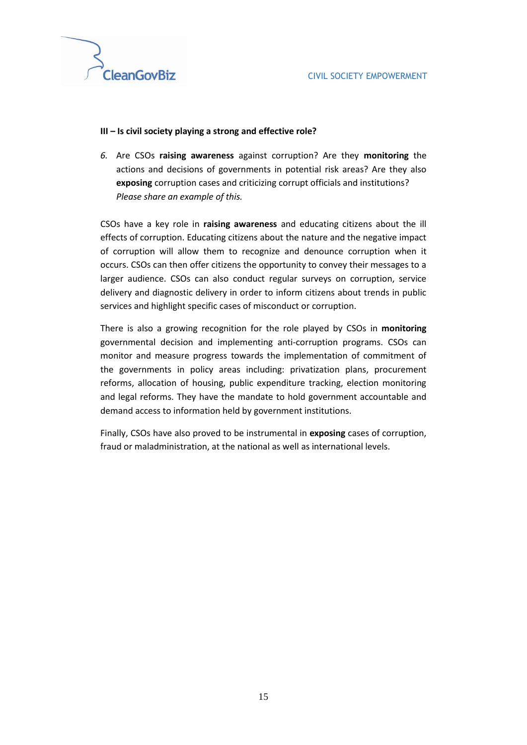

#### **III – Is civil society playing a strong and effective role?**

*6.* Are CSOs **raising awareness** against corruption? Are they **monitoring** the actions and decisions of governments in potential risk areas? Are they also **exposing** corruption cases and criticizing corrupt officials and institutions? *Please share an example of this.*

CSOs have a key role in **raising awareness** and educating citizens about the ill effects of corruption. Educating citizens about the nature and the negative impact of corruption will allow them to recognize and denounce corruption when it occurs. CSOs can then offer citizens the opportunity to convey their messages to a larger audience. CSOs can also conduct regular surveys on corruption, service delivery and diagnostic delivery in order to inform citizens about trends in public services and highlight specific cases of misconduct or corruption.

There is also a growing recognition for the role played by CSOs in **monitoring**  governmental decision and implementing anti-corruption programs. CSOs can monitor and measure progress towards the implementation of commitment of the governments in policy areas including: privatization plans, procurement reforms, allocation of housing, public expenditure tracking, election monitoring and legal reforms. They have the mandate to hold government accountable and demand access to information held by government institutions.

Finally, CSOs have also proved to be instrumental in **exposing** cases of corruption, fraud or maladministration, at the national as well as international levels.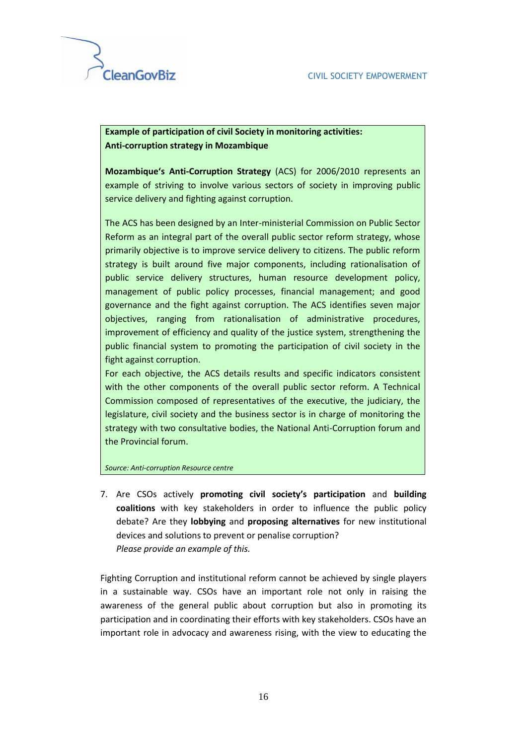**Example of participation of civil Society in monitoring activities: Anti-corruption strategy in Mozambique** 

**Mozambique's Anti-Corruption Strategy** (ACS) for 2006/2010 represents an example of striving to involve various sectors of society in improving public service delivery and fighting against corruption.

The ACS has been designed by an Inter-ministerial Commission on Public Sector Reform as an integral part of the overall public sector reform strategy, whose primarily objective is to improve service delivery to citizens. The public reform strategy is built around five major components, including rationalisation of public service delivery structures, human resource development policy, management of public policy processes, financial management; and good governance and the fight against corruption. The ACS identifies seven major objectives, ranging from rationalisation of administrative procedures, improvement of efficiency and quality of the justice system, strengthening the public financial system to promoting the participation of civil society in the fight against corruption.

For each objective, the ACS details results and specific indicators consistent with the other components of the overall public sector reform. A Technical Commission composed of representatives of the executive, the judiciary, the legislature, civil society and the business sector is in charge of monitoring the strategy with two consultative bodies, the National Anti-Corruption forum and the Provincial forum.

*Source: Anti-corruption Resource centre*

7. Are CSOs actively **promoting civil society's participation** and **building coalitions** with key stakeholders in order to influence the public policy debate? Are they **lobbying** and **proposing alternatives** for new institutional devices and solutions to prevent or penalise corruption? *Please provide an example of this.*

Fighting Corruption and institutional reform cannot be achieved by single players in a sustainable way. CSOs have an important role not only in raising the awareness of the general public about corruption but also in promoting its participation and in coordinating their efforts with key stakeholders. CSOs have an important role in advocacy and awareness rising, with the view to educating the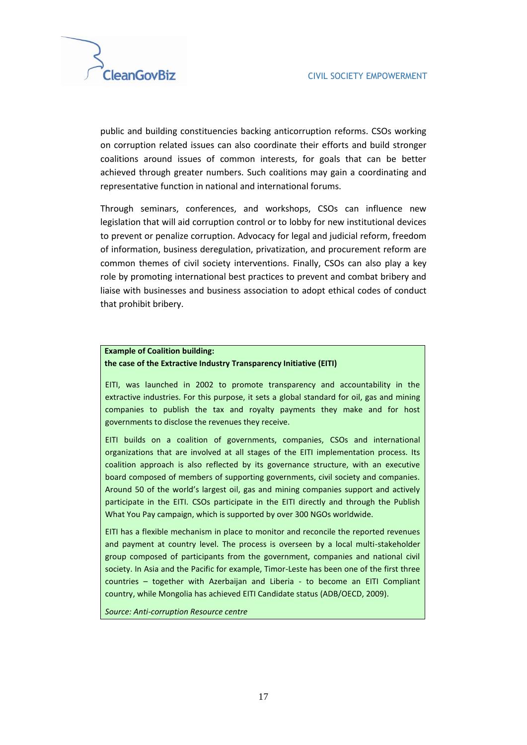

public and building constituencies backing anticorruption reforms. CSOs working on corruption related issues can also coordinate their efforts and build stronger coalitions around issues of common interests, for goals that can be better achieved through greater numbers. Such coalitions may gain a coordinating and representative function in national and international forums.

Through seminars, conferences, and workshops, CSOs can influence new legislation that will aid corruption control or to lobby for new institutional devices to prevent or penalize corruption. Advocacy for legal and judicial reform, freedom of information, business deregulation, privatization, and procurement reform are common themes of civil society interventions. Finally, CSOs can also play a key role by promoting international best practices to prevent and combat bribery and liaise with businesses and business association to adopt ethical codes of conduct that prohibit bribery.

#### **Example of Coalition building: the case of the Extractive Industry Transparency Initiative (EITI)**

EITI, was launched in 2002 to promote transparency and accountability in the extractive industries. For this purpose, it sets a global standard for oil, gas and mining companies to publish the tax and royalty payments they make and for host governments to disclose the revenues they receive.

EITI builds on a coalition of governments, companies, CSOs and international organizations that are involved at all stages of the EITI implementation process. Its coalition approach is also reflected by its governance structure, with an executive board composed of members of supporting governments, civil society and companies. Around 50 of the world's largest oil, gas and mining companies support and actively participate in the EITI. CSOs participate in the EITI directly and through the Publish What You Pay campaign, which is supported by over 300 NGOs worldwide.

EITI has a flexible mechanism in place to monitor and reconcile the reported revenues and payment at country level. The process is overseen by a local multi-stakeholder group composed of participants from the government, companies and national civil society. In Asia and the Pacific for example, Timor-Leste has been one of the first three countries – together with Azerbaijan and Liberia - to become an EITI Compliant country, while Mongolia has achieved EITI Candidate status (ADB/OECD, 2009).

*Source: Anti-corruption Resource centre*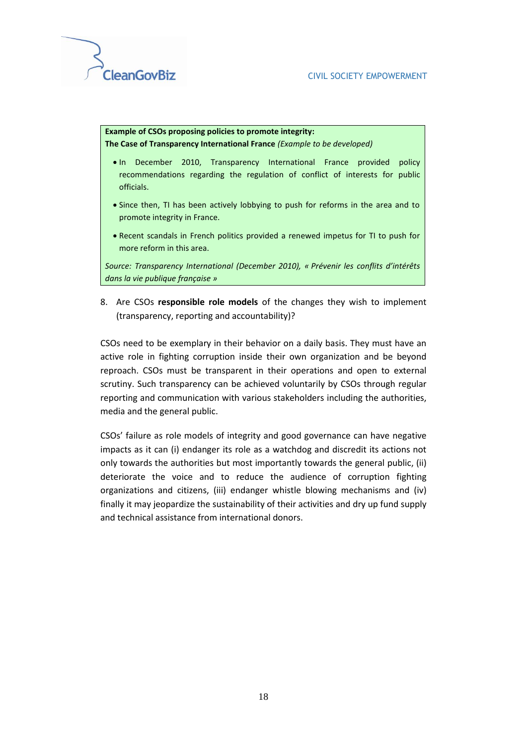

#### **Example of CSOs proposing policies to promote integrity: The Case of Transparency International France** *(Example to be developed)*

- In December 2010, Transparency International France provided policy recommendations regarding the regulation of conflict of interests for public officials.
- Since then, TI has been actively lobbying to push for reforms in the area and to promote integrity in France.
- Recent scandals in French politics provided a renewed impetus for TI to push for more reform in this area.

*Source: Transparency International (December 2010), « Prévenir les conflits d'intérêts dans la vie publique française »* 

8. Are CSOs **responsible role models** of the changes they wish to implement (transparency, reporting and accountability)?

CSOs need to be exemplary in their behavior on a daily basis. They must have an active role in fighting corruption inside their own organization and be beyond reproach. CSOs must be transparent in their operations and open to external scrutiny. Such transparency can be achieved voluntarily by CSOs through regular reporting and communication with various stakeholders including the authorities, media and the general public.

CSOs' failure as role models of integrity and good governance can have negative impacts as it can (i) endanger its role as a watchdog and discredit its actions not only towards the authorities but most importantly towards the general public, (ii) deteriorate the voice and to reduce the audience of corruption fighting organizations and citizens, (iii) endanger whistle blowing mechanisms and (iv) finally it may jeopardize the sustainability of their activities and dry up fund supply and technical assistance from international donors.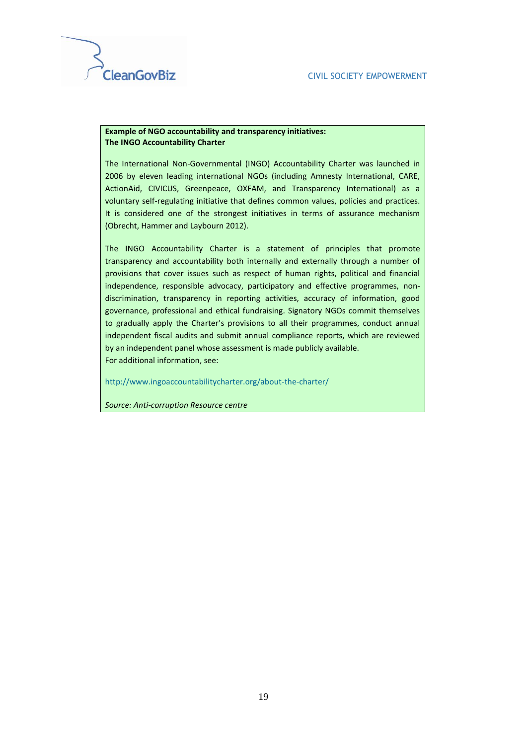

#### **Example of NGO accountability and transparency initiatives: The INGO Accountability Charter**

The International Non-Governmental (INGO) Accountability Charter was launched in 2006 by eleven leading international NGOs (including Amnesty International, CARE, ActionAid, CIVICUS, Greenpeace, OXFAM, and Transparency International) as a voluntary self-regulating initiative that defines common values, policies and practices. It is considered one of the strongest initiatives in terms of assurance mechanism (Obrecht, Hammer and Laybourn 2012).

The INGO Accountability Charter is a statement of principles that promote transparency and accountability both internally and externally through a number of provisions that cover issues such as respect of human rights, political and financial independence, responsible advocacy, participatory and effective programmes, nondiscrimination, transparency in reporting activities, accuracy of information, good governance, professional and ethical fundraising. Signatory NGOs commit themselves to gradually apply the Charter's provisions to all their programmes, conduct annual independent fiscal audits and submit annual compliance reports, which are reviewed by an independent panel whose assessment is made publicly available. For additional information, see:

<http://www.ingoaccountabilitycharter.org/about-the-charter/>

*Source: Anti-corruption Resource centre*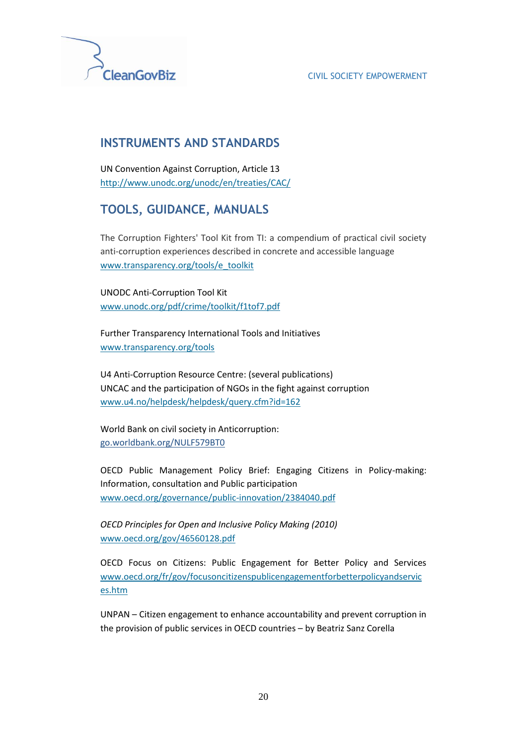

#### CIVIL SOCIETY EMPOWERMENT

## **INSTRUMENTS AND STANDARDS**

UN Convention Against Corruption, Article 13 <http://www.unodc.org/unodc/en/treaties/CAC/>

## **TOOLS, GUIDANCE, MANUALS**

The Corruption Fighters' Tool Kit from TI: a compendium of practical civil society anti-corruption experiences described in concrete and accessible language [www.transparency.org/tools/e\\_toolkit](http://www.transparency.org/tools/e_toolkit)

UNODC Anti-Corruption Tool Kit [www.unodc.org/pdf/crime/toolkit/f1tof7.pdf](http://www.unodc.org/pdf/crime/toolkit/f1tof7.pdf)

Further Transparency International Tools and Initiatives [www.transparency.org/tools](http://www.transparency.org/tools)

U4 Anti-Corruption Resource Centre: (several publications) UNCAC and the participation of NGOs in the fight against corruption [www.u4.no/helpdesk/helpdesk/query.cfm?id=162](http://www.u4.no/helpdesk/helpdesk/query.cfm?id=162)

World Bank on civil society in Anticorruption: [go.worldbank.org/NULF579BT0](http://go.worldbank.org/NULF579BT0)

OECD Public Management Policy Brief: Engaging Citizens in Policy-making: Information, consultation and Public participation [www.oecd.org/governance/public-innovation/2384040.pdf](http://www.oecd.org/governance/public-innovation/2384040.pdf)

*OECD Principles for Open and Inclusive Policy Making (2010)* [www.oecd.org/gov/46560128.pdf](http://www.oecd.org/gov/46560128.pdf)

OECD Focus on Citizens: Public Engagement for Better Policy and Services [www.oecd.org/fr/gov/focusoncitizenspublicengagementforbetterpolicyandservic](http://www.oecd.org/fr/gov/focusoncitizenspublicengagementforbetterpolicyandservices.htm) [es.htm](http://www.oecd.org/fr/gov/focusoncitizenspublicengagementforbetterpolicyandservices.htm)

UNPAN – Citizen engagement to enhance accountability and prevent corruption in the provision of public services in OECD countries – by Beatriz Sanz Corella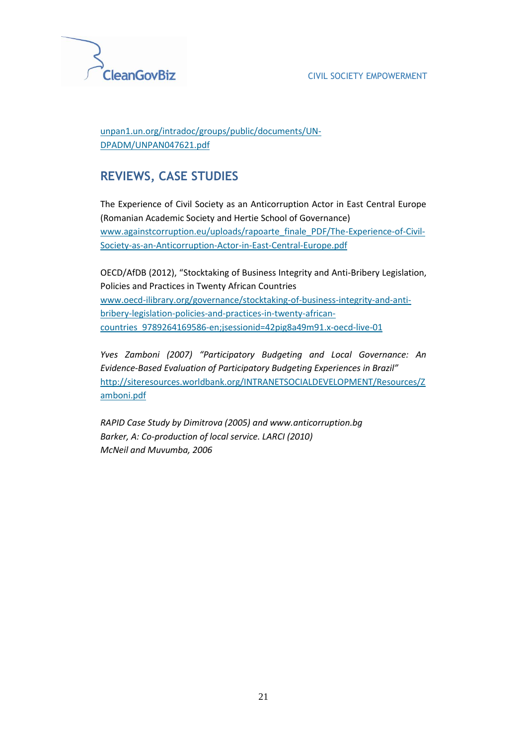

#### [unpan1.un.org/intradoc/groups/public/documents/UN-](http://unpan1.un.org/intradoc/groups/public/documents/UN-DPADM/UNPAN047621.pdf)[DPADM/UNPAN047621.pdf](http://unpan1.un.org/intradoc/groups/public/documents/UN-DPADM/UNPAN047621.pdf)

## **REVIEWS, CASE STUDIES**

The Experience of Civil Society as an Anticorruption Actor in East Central Europe (Romanian Academic Society and Hertie School of Governance) [www.againstcorruption.eu/uploads/rapoarte\\_finale\\_PDF/The-Experience-of-Civil-](http://www.againstcorruption.eu/uploads/rapoarte_finale_PDF/The-Experience-of-Civil-Society-as-an-Anticorruption-Actor-in-East-Central-Europe.pdf)[Society-as-an-Anticorruption-Actor-in-East-Central-Europe.pdf](http://www.againstcorruption.eu/uploads/rapoarte_finale_PDF/The-Experience-of-Civil-Society-as-an-Anticorruption-Actor-in-East-Central-Europe.pdf)

OECD/AfDB (2012), "Stocktaking of Business Integrity and Anti-Bribery Legislation, Policies and Practices in Twenty African Countries [www.oecd-ilibrary.org/governance/stocktaking-of-business-integrity-and-anti](http://www.oecd-ilibrary.org/governance/stocktaking-of-business-integrity-and-anti-bribery-legislation-policies-and-practices-in-twenty-african-countries_9789264169586-en;jsessionid=42pig8a49m91.x-oecd-live-01)[bribery-legislation-policies-and-practices-in-twenty-african](http://www.oecd-ilibrary.org/governance/stocktaking-of-business-integrity-and-anti-bribery-legislation-policies-and-practices-in-twenty-african-countries_9789264169586-en;jsessionid=42pig8a49m91.x-oecd-live-01)[countries\\_9789264169586-en;jsessionid=42pig8a49m91.x-oecd-live-01](http://www.oecd-ilibrary.org/governance/stocktaking-of-business-integrity-and-anti-bribery-legislation-policies-and-practices-in-twenty-african-countries_9789264169586-en;jsessionid=42pig8a49m91.x-oecd-live-01)

*Yves Zamboni (2007) "Participatory Budgeting and Local Governance: An Evidence-Based Evaluation of Participatory Budgeting Experiences in Brazil"* [http://siteresources.worldbank.org/INTRANETSOCIALDEVELOPMENT/Resources/Z](http://siteresources.worldbank.org/INTRANETSOCIALDEVELOPMENT/Resources/Zamboni.pdf) [amboni.pdf](http://siteresources.worldbank.org/INTRANETSOCIALDEVELOPMENT/Resources/Zamboni.pdf)

*RAPID Case Study by Dimitrova (2005) and www.anticorruption.bg Barker, A: Co-production of local service. LARCI (2010) McNeil and Muvumba, 2006*